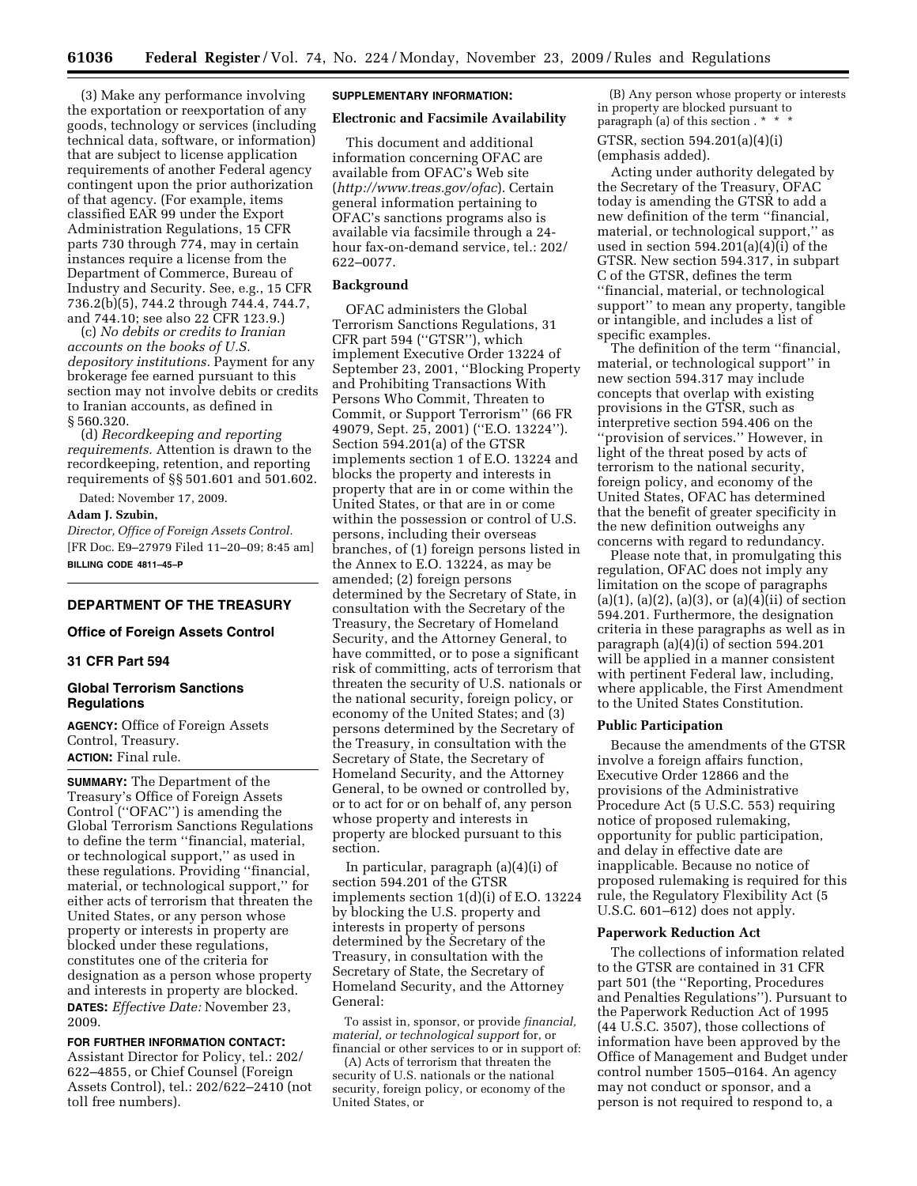(3) Make any performance involving the exportation or reexportation of any goods, technology or services (including technical data, software, or information) that are subject to license application requirements of another Federal agency contingent upon the prior authorization of that agency. (For example, items classified EAR 99 under the Export Administration Regulations, 15 CFR parts 730 through 774, may in certain instances require a license from the Department of Commerce, Bureau of Industry and Security. See, e.g., 15 CFR 736.2(b)(5), 744.2 through 744.4, 744.7, and 744.10; see also 22 CFR 123.9.)

(c) *No debits or credits to Iranian accounts on the books of U.S. depository institutions.* Payment for any brokerage fee earned pursuant to this section may not involve debits or credits to Iranian accounts, as defined in § 560.320.

(d) *Recordkeeping and reporting requirements.* Attention is drawn to the recordkeeping, retention, and reporting requirements of §§ 501.601 and 501.602.

Dated: November 17, 2009.

# **Adam J. Szubin,**

*Director, Office of Foreign Assets Control.*  [FR Doc. E9–27979 Filed 11–20–09; 8:45 am] **BILLING CODE 4811–45–P** 

# **DEPARTMENT OF THE TREASURY**

# **Office of Foreign Assets Control**

#### **31 CFR Part 594**

### **Global Terrorism Sanctions Regulations**

**AGENCY:** Office of Foreign Assets Control, Treasury. **ACTION:** Final rule.

**SUMMARY:** The Department of the Treasury's Office of Foreign Assets Control (''OFAC'') is amending the Global Terrorism Sanctions Regulations to define the term ''financial, material, or technological support,'' as used in these regulations. Providing ''financial, material, or technological support,'' for either acts of terrorism that threaten the United States, or any person whose property or interests in property are blocked under these regulations, constitutes one of the criteria for designation as a person whose property and interests in property are blocked. **DATES:** *Effective Date:* November 23, 2009.

**FOR FURTHER INFORMATION CONTACT:**  Assistant Director for Policy, tel.: 202/ 622–4855, or Chief Counsel (Foreign Assets Control), tel.: 202/622–2410 (not toll free numbers).

#### **SUPPLEMENTARY INFORMATION:**

#### **Electronic and Facsimile Availability**

This document and additional information concerning OFAC are available from OFAC's Web site (*<http://www.treas.gov/ofac>*). Certain general information pertaining to OFAC's sanctions programs also is available via facsimile through a 24 hour fax-on-demand service, tel.: 202/ 622–0077.

### **Background**

OFAC administers the Global Terrorism Sanctions Regulations, 31 CFR part 594 (''GTSR''), which implement Executive Order 13224 of September 23, 2001, ''Blocking Property and Prohibiting Transactions With Persons Who Commit, Threaten to Commit, or Support Terrorism'' (66 FR 49079, Sept. 25, 2001) (''E.O. 13224''). Section 594.201(a) of the GTSR implements section 1 of E.O. 13224 and blocks the property and interests in property that are in or come within the United States, or that are in or come within the possession or control of U.S. persons, including their overseas branches, of (1) foreign persons listed in the Annex to E.O. 13224, as may be amended; (2) foreign persons determined by the Secretary of State, in consultation with the Secretary of the Treasury, the Secretary of Homeland Security, and the Attorney General, to have committed, or to pose a significant risk of committing, acts of terrorism that threaten the security of U.S. nationals or the national security, foreign policy, or economy of the United States; and (3) persons determined by the Secretary of the Treasury, in consultation with the Secretary of State, the Secretary of Homeland Security, and the Attorney General, to be owned or controlled by, or to act for or on behalf of, any person whose property and interests in property are blocked pursuant to this section.

In particular, paragraph (a)(4)(i) of section 594.201 of the GTSR implements section 1(d)(i) of E.O. 13224 by blocking the U.S. property and interests in property of persons determined by the Secretary of the Treasury, in consultation with the Secretary of State, the Secretary of Homeland Security, and the Attorney General:

To assist in, sponsor, or provide *financial, material, or technological support* for, or financial or other services to or in support of:

(A) Acts of terrorism that threaten the security of U.S. nationals or the national security, foreign policy, or economy of the United States, or

(B) Any person whose property or interests in property are blocked pursuant to paragraph (a) of this section . \*

GTSR, section 594.201(a)(4)(i) (emphasis added).

Acting under authority delegated by the Secretary of the Treasury, OFAC today is amending the GTSR to add a new definition of the term ''financial, material, or technological support,'' as used in section  $594.201(a)(4)(i)$  of the GTSR. New section 594.317, in subpart C of the GTSR, defines the term ''financial, material, or technological support'' to mean any property, tangible or intangible, and includes a list of specific examples.

The definition of the term ''financial, material, or technological support'' in new section 594.317 may include concepts that overlap with existing provisions in the GTSR, such as interpretive section 594.406 on the ''provision of services.'' However, in light of the threat posed by acts of terrorism to the national security, foreign policy, and economy of the United States, OFAC has determined that the benefit of greater specificity in the new definition outweighs any concerns with regard to redundancy.

Please note that, in promulgating this regulation, OFAC does not imply any limitation on the scope of paragraphs  $(a)(1)$ ,  $(a)(2)$ ,  $(a)(3)$ , or  $(a)(4)(ii)$  of section 594.201. Furthermore, the designation criteria in these paragraphs as well as in paragraph (a)(4)(i) of section 594.201 will be applied in a manner consistent with pertinent Federal law, including, where applicable, the First Amendment to the United States Constitution.

#### **Public Participation**

Because the amendments of the GTSR involve a foreign affairs function, Executive Order 12866 and the provisions of the Administrative Procedure Act (5 U.S.C. 553) requiring notice of proposed rulemaking, opportunity for public participation, and delay in effective date are inapplicable. Because no notice of proposed rulemaking is required for this rule, the Regulatory Flexibility Act (5 U.S.C. 601–612) does not apply.

#### **Paperwork Reduction Act**

The collections of information related to the GTSR are contained in 31 CFR part 501 (the ''Reporting, Procedures and Penalties Regulations''). Pursuant to the Paperwork Reduction Act of 1995 (44 U.S.C. 3507), those collections of information have been approved by the Office of Management and Budget under control number 1505–0164. An agency may not conduct or sponsor, and a person is not required to respond to, a